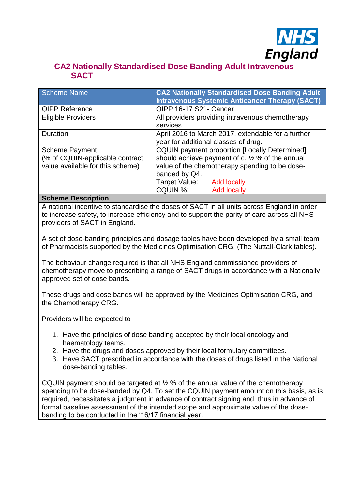

# **CA2 Nationally Standardised Dose Banding Adult Intravenous SACT**

| <b>Scheme Name</b>               | <b>CA2 Nationally Standardised Dose Banding Adult</b><br><b>Intravenous Systemic Anticancer Therapy (SACT)</b> |  |  |
|----------------------------------|----------------------------------------------------------------------------------------------------------------|--|--|
| <b>QIPP Reference</b>            | QIPP 16-17 S21- Cancer                                                                                         |  |  |
| <b>Eligible Providers</b>        | All providers providing intravenous chemotherapy                                                               |  |  |
|                                  | services                                                                                                       |  |  |
| Duration                         | April 2016 to March 2017, extendable for a further                                                             |  |  |
|                                  | year for additional classes of drug.                                                                           |  |  |
| <b>Scheme Payment</b>            | <b>CQUIN payment proportion [Locally Determined]</b>                                                           |  |  |
| (% of CQUIN-applicable contract  | should achieve payment of c. 1/2 % of the annual                                                               |  |  |
| value available for this scheme) | value of the chemotherapy spending to be dose-                                                                 |  |  |
|                                  | banded by Q4.                                                                                                  |  |  |
|                                  | Target Value:<br><b>Add locally</b>                                                                            |  |  |
|                                  | CQUIN %:<br><b>Add locally</b>                                                                                 |  |  |
| Colonia Departution              |                                                                                                                |  |  |

#### **Scheme Description**

A national incentive to standardise the doses of SACT in all units across England in order to increase safety, to increase efficiency and to support the parity of care across all NHS providers of SACT in England.

A set of dose-banding principles and dosage tables have been developed by a small team of Pharmacists supported by the Medicines Optimisation CRG. (The Nuttall-Clark tables).

The behaviour change required is that all NHS England commissioned providers of chemotherapy move to prescribing a range of SACT drugs in accordance with a Nationally approved set of dose bands.

These drugs and dose bands will be approved by the Medicines Optimisation CRG, and the Chemotherapy CRG.

Providers will be expected to

- 1. Have the principles of dose banding accepted by their local oncology and haematology teams.
- 2. Have the drugs and doses approved by their local formulary committees.
- 3. Have SACT prescribed in accordance with the doses of drugs listed in the National dose-banding tables.

CQUIN payment should be targeted at ½ % of the annual value of the chemotherapy spending to be dose-banded by Q4. To set the CQUIN payment amount on this basis, as is required, necessitates a judgment in advance of contract signing and thus in advance of formal baseline assessment of the intended scope and approximate value of the dosebanding to be conducted in the '16/17 financial year.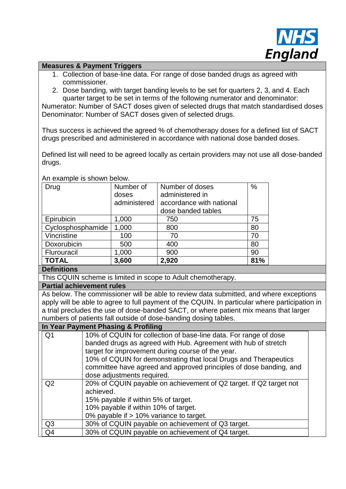

## **Measures & Payment Triggers**

- 1. Collection of base-line data. For range of dose banded drugs as agreed with commissioner.
- 2. Dose banding, with target banding levels to be set for quarters 2, 3, and 4. Each quarter target to be set in terms of the following numerator and denominator:

Numerator: Number of SACT doses given of selected drugs that match standardised doses Denominator: Number of SACT doses given of selected drugs.

Thus success is achieved the agreed % of chemotherapy doses for a defined list of SACT drugs prescribed and administered in accordance with national dose banded doses.

Defined list will need to be agreed locally as certain providers may not use all dose-banded drugs.

An example is shown below.

| $\sim$ resemble to show the low.                                                               |                                                                    |                                                                 |               |  |  |
|------------------------------------------------------------------------------------------------|--------------------------------------------------------------------|-----------------------------------------------------------------|---------------|--|--|
| Drug                                                                                           | Number of                                                          | Number of doses                                                 | $\frac{0}{0}$ |  |  |
|                                                                                                | doses                                                              | administered in                                                 |               |  |  |
|                                                                                                | administered                                                       | accordance with national                                        |               |  |  |
|                                                                                                |                                                                    | dose banded tables                                              |               |  |  |
| Epirubicin                                                                                     | 1,000                                                              | 750                                                             | 75            |  |  |
| Cyclosphosphamide                                                                              | 1,000                                                              | 800                                                             | 80            |  |  |
| Vincristine                                                                                    | 100                                                                | 70                                                              | 70            |  |  |
| Doxorubicin                                                                                    | 500                                                                | 400                                                             | 80            |  |  |
| Flurouracil                                                                                    | 1,000                                                              | 900                                                             | 90            |  |  |
| <b>TOTAL</b>                                                                                   | 3,600                                                              | 2,920                                                           | 81%           |  |  |
| <b>Definitions</b>                                                                             |                                                                    |                                                                 |               |  |  |
| This CQUIN scheme is limited in scope to Adult chemotherapy.                                   |                                                                    |                                                                 |               |  |  |
| <b>Partial achievement rules</b>                                                               |                                                                    |                                                                 |               |  |  |
| As below. The commissioner will be able to review data submitted, and where exceptions         |                                                                    |                                                                 |               |  |  |
| apply will be able to agree to full payment of the CQUIN. In particular where participation in |                                                                    |                                                                 |               |  |  |
| a trial precludes the use of dose-banded SACT, or where patient mix means that larger          |                                                                    |                                                                 |               |  |  |
|                                                                                                |                                                                    | numbers of patients fall outside of dose-banding dosing tables. |               |  |  |
| In Year Payment Phasing & Profiling                                                            |                                                                    |                                                                 |               |  |  |
| Q <sub>1</sub>                                                                                 | 10% of CQUIN for collection of base-line data. For range of dose   |                                                                 |               |  |  |
|                                                                                                | banded drugs as agreed with Hub. Agreement with hub of stretch     |                                                                 |               |  |  |
|                                                                                                | target for improvement during course of the year.                  |                                                                 |               |  |  |
|                                                                                                | 10% of CQUIN for demonstrating that local Drugs and Therapeutics   |                                                                 |               |  |  |
| committee have agreed and approved principles of dose banding, and                             |                                                                    |                                                                 |               |  |  |
| dose adjustments required.                                                                     |                                                                    |                                                                 |               |  |  |
| Q2                                                                                             | 20% of CQUIN payable on achievement of Q2 target. If Q2 target not |                                                                 |               |  |  |
| achieved.                                                                                      |                                                                    |                                                                 |               |  |  |
| 15% payable if within 5% of target.                                                            |                                                                    |                                                                 |               |  |  |
|                                                                                                | 10% payable if within 10% of target.                               |                                                                 |               |  |  |
|                                                                                                | 0% payable if > 10% variance to target.                            |                                                                 |               |  |  |
| Q3                                                                                             | 30% of CQUIN payable on achievement of Q3 target.                  |                                                                 |               |  |  |
| Q4                                                                                             | 30% of CQUIN payable on achievement of Q4 target.                  |                                                                 |               |  |  |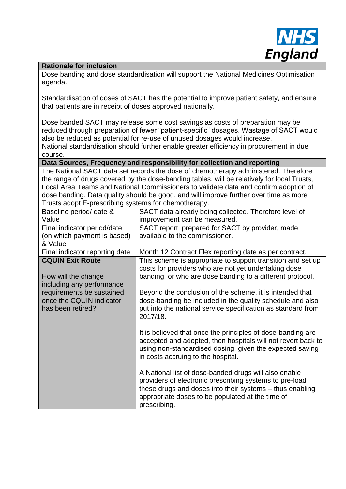

#### **Rationale for inclusion**

Dose banding and dose standardisation will support the National Medicines Optimisation agenda.

Standardisation of doses of SACT has the potential to improve patient safety, and ensure that patients are in receipt of doses approved nationally.

Dose banded SACT may release some cost savings as costs of preparation may be reduced through preparation of fewer "patient-specific" dosages. Wastage of SACT would also be reduced as potential for re-use of unused dosages would increase. National standardisation should further enable greater efficiency in procurement in due course.

**Data Sources, Frequency and responsibility for collection and reporting**

The National SACT data set records the dose of chemotherapy administered. Therefore the range of drugs covered by the dose-banding tables, will be relatively for local Trusts, Local Area Teams and National Commissioners to validate data and confirm adoption of dose banding. Data quality should be good, and will improve further over time as more Trusts adopt E-prescribing systems for chemotherapy.

| Baseline period/ date &                                                                                 | SACT data already being collected. Therefore level of                                                                                                                                                                                            |
|---------------------------------------------------------------------------------------------------------|--------------------------------------------------------------------------------------------------------------------------------------------------------------------------------------------------------------------------------------------------|
| Value                                                                                                   | improvement can be measured.                                                                                                                                                                                                                     |
| Final indicator period/date                                                                             | SACT report, prepared for SACT by provider, made                                                                                                                                                                                                 |
| (on which payment is based)                                                                             | available to the commissioner.                                                                                                                                                                                                                   |
| & Value                                                                                                 |                                                                                                                                                                                                                                                  |
| Final indicator reporting date                                                                          | Month 12 Contract Flex reporting date as per contract.                                                                                                                                                                                           |
| <b>CQUIN Exit Route</b><br>How will the change                                                          | This scheme is appropriate to support transition and set up<br>costs for providers who are not yet undertaking dose<br>banding, or who are dose banding to a different protocol.                                                                 |
| including any performance<br>requirements be sustained<br>once the CQUIN indicator<br>has been retired? | Beyond the conclusion of the scheme, it is intended that<br>dose-banding be included in the quality schedule and also<br>put into the national service specification as standard from<br>2017/18.                                                |
|                                                                                                         | It is believed that once the principles of dose-banding are<br>accepted and adopted, then hospitals will not revert back to<br>using non-standardised dosing, given the expected saving<br>in costs accruing to the hospital.                    |
|                                                                                                         | A National list of dose-banded drugs will also enable<br>providers of electronic prescribing systems to pre-load<br>these drugs and doses into their systems - thus enabling<br>appropriate doses to be populated at the time of<br>prescribing. |